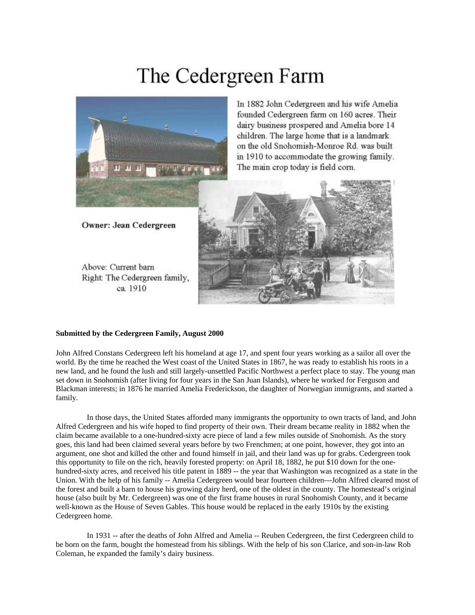## The Cedergreen Farm



In 1882 John Cedergreen and his wife Amelia founded Cedergreen farm on 160 acres. Their dairy business prospered and Amelia bore 14 children. The large home that is a landmark on the old Snohomish-Monroe Rd, was built in 1910 to accommodate the growing family. The main crop today is field corn.

Owner: Jean Cedergreen

Above: Current barn Right: The Cedergreen family, ca. 1910



## **Submitted by the Cedergreen Family, August 2000**

John Alfred Constans Cedergreen left his homeland at age 17, and spent four years working as a sailor all over the world. By the time he reached the West coast of the United States in 1867, he was ready to establish his roots in a new land, and he found the lush and still largely-unsettled Pacific Northwest a perfect place to stay. The young man set down in Snohomish (after living for four years in the San Juan Islands), where he worked for Ferguson and Blackman interests; in 1876 he married Amelia Frederickson, the daughter of Norwegian immigrants, and started a family.

 In those days, the United States afforded many immigrants the opportunity to own tracts of land, and John Alfred Cedergreen and his wife hoped to find property of their own. Their dream became reality in 1882 when the claim became available to a one-hundred-sixty acre piece of land a few miles outside of Snohomish. As the story goes, this land had been claimed several years before by two Frenchmen; at one point, however, they got into an argument, one shot and killed the other and found himself in jail, and their land was up for grabs. Cedergreen took this opportunity to file on the rich, heavily forested property: on April 18, 1882, he put \$10 down for the onehundred-sixty acres, and received his title patent in 1889 -- the year that Washington was recognized as a state in the Union. With the help of his family -- Amelia Cedergreen would bear fourteen children---John Alfred cleared most of the forest and built a barn to house his growing dairy herd, one of the oldest in the county. The homestead's original house (also built by Mr. Cedergreen) was one of the first frame houses in rural Snohomish County, and it became well-known as the House of Seven Gables. This house would be replaced in the early 1910s by the existing Cedergreen home.

 In 1931 -- after the deaths of John Alfred and Amelia -- Reuben Cedergreen, the first Cedergreen child to be born on the farm, bought the homestead from his siblings. With the help of his son Clarice, and son-in-law Rob Coleman, he expanded the family's dairy business.